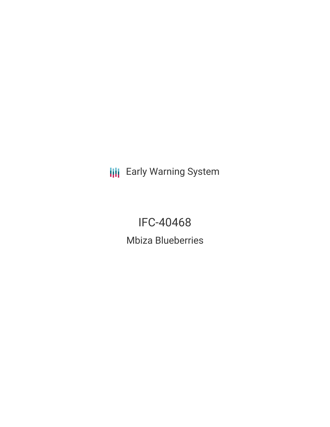**III** Early Warning System

IFC-40468 Mbiza Blueberries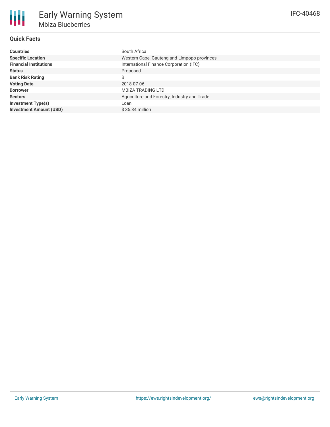## **Quick Facts**

| <b>Countries</b>               | South Africa                                 |
|--------------------------------|----------------------------------------------|
| <b>Specific Location</b>       | Western Cape, Gauteng and Limpopo provinces  |
| <b>Financial Institutions</b>  | International Finance Corporation (IFC)      |
| <b>Status</b>                  | Proposed                                     |
| <b>Bank Risk Rating</b>        | B                                            |
| <b>Voting Date</b>             | 2018-07-06                                   |
| <b>Borrower</b>                | <b>MBIZA TRADING LTD</b>                     |
| <b>Sectors</b>                 | Agriculture and Forestry, Industry and Trade |
| <b>Investment Type(s)</b>      | Loan                                         |
| <b>Investment Amount (USD)</b> | $$35.34$ million                             |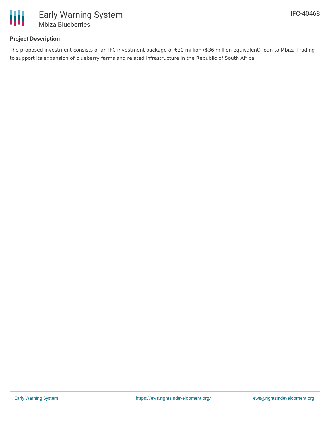

## **Project Description**

The proposed investment consists of an IFC investment package of €30 million (\$36 million equivalent) loan to Mbiza Trading to support its expansion of blueberry farms and related infrastructure in the Republic of South Africa.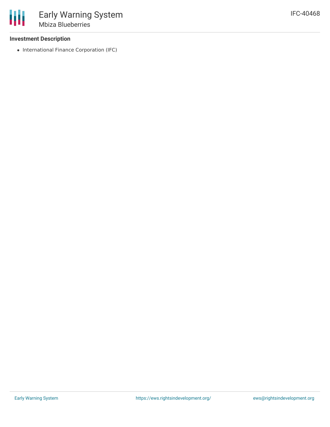### **Investment Description**

• International Finance Corporation (IFC)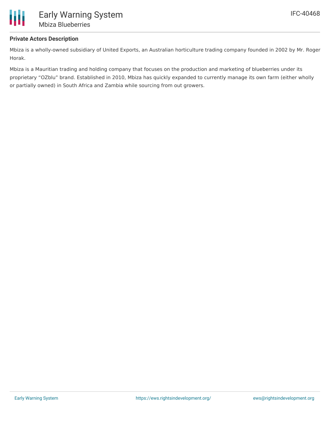

## **Private Actors Description**

Mbiza is a wholly-owned subsidiary of United Exports, an Australian horticulture trading company founded in 2002 by Mr. Roger Horak.

Mbiza is a Mauritian trading and holding company that focuses on the production and marketing of blueberries under its proprietary "OZblu" brand. Established in 2010, Mbiza has quickly expanded to currently manage its own farm (either wholly or partially owned) in South Africa and Zambia while sourcing from out growers.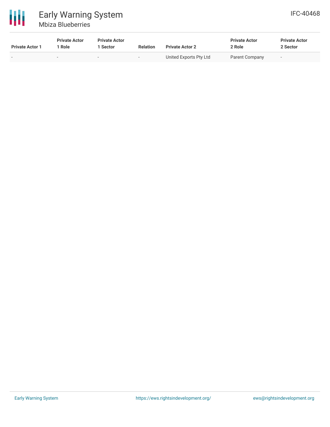

# Early Warning System Mbiza Blueberries

| <b>Private Actor 1</b> | <b>Private Actor</b><br>1 Role | <b>Private Actor</b><br>l Sector | <b>Relation</b>          | <b>Private Actor 2</b> | <b>Private Actor</b><br>2 Role | <b>Private Actor</b><br>2 Sector |  |
|------------------------|--------------------------------|----------------------------------|--------------------------|------------------------|--------------------------------|----------------------------------|--|
|                        | $\overline{\phantom{a}}$       | -                                | $\overline{\phantom{0}}$ | United Exports Pty Ltd | Parent Company                 | $\overline{\phantom{0}}$         |  |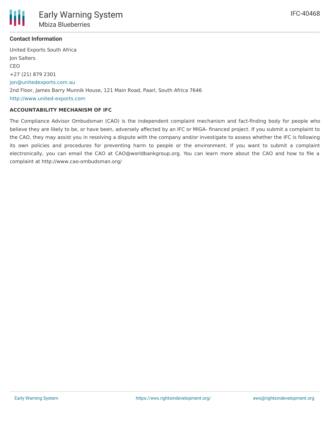

### **Contact Information**

United Exports South Africa Jon Salters CEO +27 (21) 879 2301 [jon@unitedexports.com.au](mailto:jon@unitedexports.com.au) 2nd Floor, James Barry Munnik House, 121 Main Road, Paarl, South Africa 7646 <http://www.united-exports.com>

#### **ACCOUNTABILITY MECHANISM OF IFC**

The Compliance Advisor Ombudsman (CAO) is the independent complaint mechanism and fact-finding body for people who believe they are likely to be, or have been, adversely affected by an IFC or MIGA- financed project. If you submit a complaint to the CAO, they may assist you in resolving a dispute with the company and/or investigate to assess whether the IFC is following its own policies and procedures for preventing harm to people or the environment. If you want to submit a complaint electronically, you can email the CAO at CAO@worldbankgroup.org. You can learn more about the CAO and how to file a complaint at http://www.cao-ombudsman.org/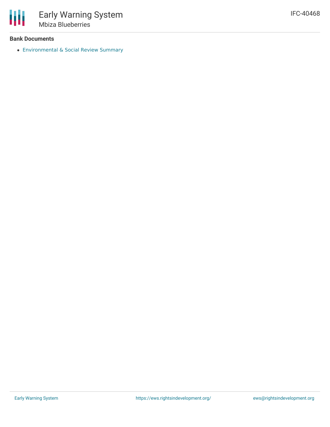

### **Bank Documents**

[Environmental](https://disclosures.ifc.org/#/projectDetail/ESRS/40468) & Social Review Summary